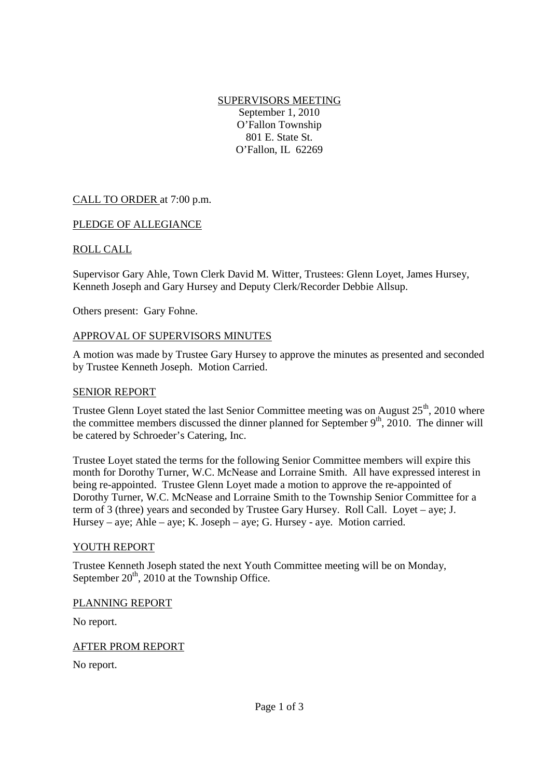SUPERVISORS MEETING September 1, 2010 O'Fallon Township 801 E. State St. O'Fallon, IL 62269

# CALL TO ORDER at 7:00 p.m.

### PLEDGE OF ALLEGIANCE

### ROLL CALL

Supervisor Gary Ahle, Town Clerk David M. Witter, Trustees: Glenn Loyet, James Hursey, Kenneth Joseph and Gary Hursey and Deputy Clerk/Recorder Debbie Allsup.

Others present: Gary Fohne.

#### APPROVAL OF SUPERVISORS MINUTES

A motion was made by Trustee Gary Hursey to approve the minutes as presented and seconded by Trustee Kenneth Joseph. Motion Carried.

#### SENIOR REPORT

Trustee Glenn Loyet stated the last Senior Committee meeting was on August  $25<sup>th</sup>$ , 2010 where the committee members discussed the dinner planned for September  $9<sup>th</sup>$ , 2010. The dinner will be catered by Schroeder's Catering, Inc.

Trustee Loyet stated the terms for the following Senior Committee members will expire this month for Dorothy Turner, W.C. McNease and Lorraine Smith. All have expressed interest in being re-appointed. Trustee Glenn Loyet made a motion to approve the re-appointed of Dorothy Turner, W.C. McNease and Lorraine Smith to the Township Senior Committee for a term of 3 (three) years and seconded by Trustee Gary Hursey. Roll Call. Loyet – aye; J. Hursey – aye; Ahle – aye; K. Joseph – aye; G. Hursey - aye. Motion carried.

### YOUTH REPORT

Trustee Kenneth Joseph stated the next Youth Committee meeting will be on Monday, September  $20<sup>th</sup>$ , 2010 at the Township Office.

### PLANNING REPORT

No report.

### AFTER PROM REPORT

No report.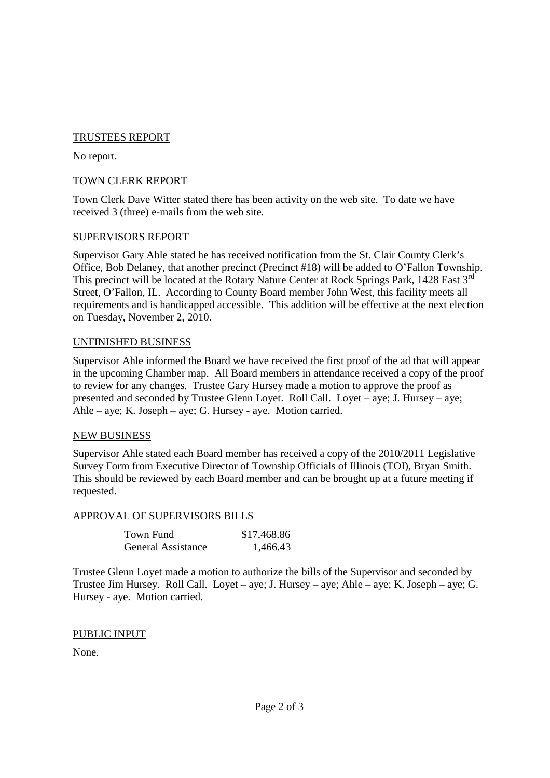# TRUSTEES REPORT

No report.

### TOWN CLERK REPORT

Town Clerk Dave Witter stated there has been activity on the web site. To date we have received 3 (three) e-mails from the web site.

### SUPERVISORS REPORT

Supervisor Gary Ahle stated he has received notification from the St. Clair County Clerk's Office, Bob Delaney, that another precinct (Precinct #18) will be added to O'Fallon Township. This precinct will be located at the Rotary Nature Center at Rock Springs Park, 1428 East 3<sup>rd</sup> Street, O'Fallon, IL. According to County Board member John West, this facility meets all requirements and is handicapped accessible. This addition will be effective at the next election on Tuesday, November 2, 2010.

### UNFINISHED BUSINESS

Supervisor Ahle informed the Board we have received the first proof of the ad that will appear in the upcoming Chamber map. All Board members in attendance received a copy of the proof to review for any changes. Trustee Gary Hursey made a motion to approve the proof as presented and seconded by Trustee Glenn Loyet. Roll Call. Loyet – aye; J. Hursey – aye; Ahle – aye; K. Joseph – aye; G. Hursey - aye. Motion carried.

### NEW BUSINESS

Supervisor Ahle stated each Board member has received a copy of the 2010/2011 Legislative Survey Form from Executive Director of Township Officials of Illinois (TOI), Bryan Smith. This should be reviewed by each Board member and can be brought up at a future meeting if requested.

# APPROVAL OF SUPERVISORS BILLS

| Town Fund                 | \$17,468.86 |
|---------------------------|-------------|
| <b>General Assistance</b> | 1,466.43    |

Trustee Glenn Loyet made a motion to authorize the bills of the Supervisor and seconded by Trustee Jim Hursey. Roll Call. Loyet – aye; J. Hursey – aye; Ahle – aye; K. Joseph – aye; G. Hursey - aye. Motion carried.

### PUBLIC INPUT

None.